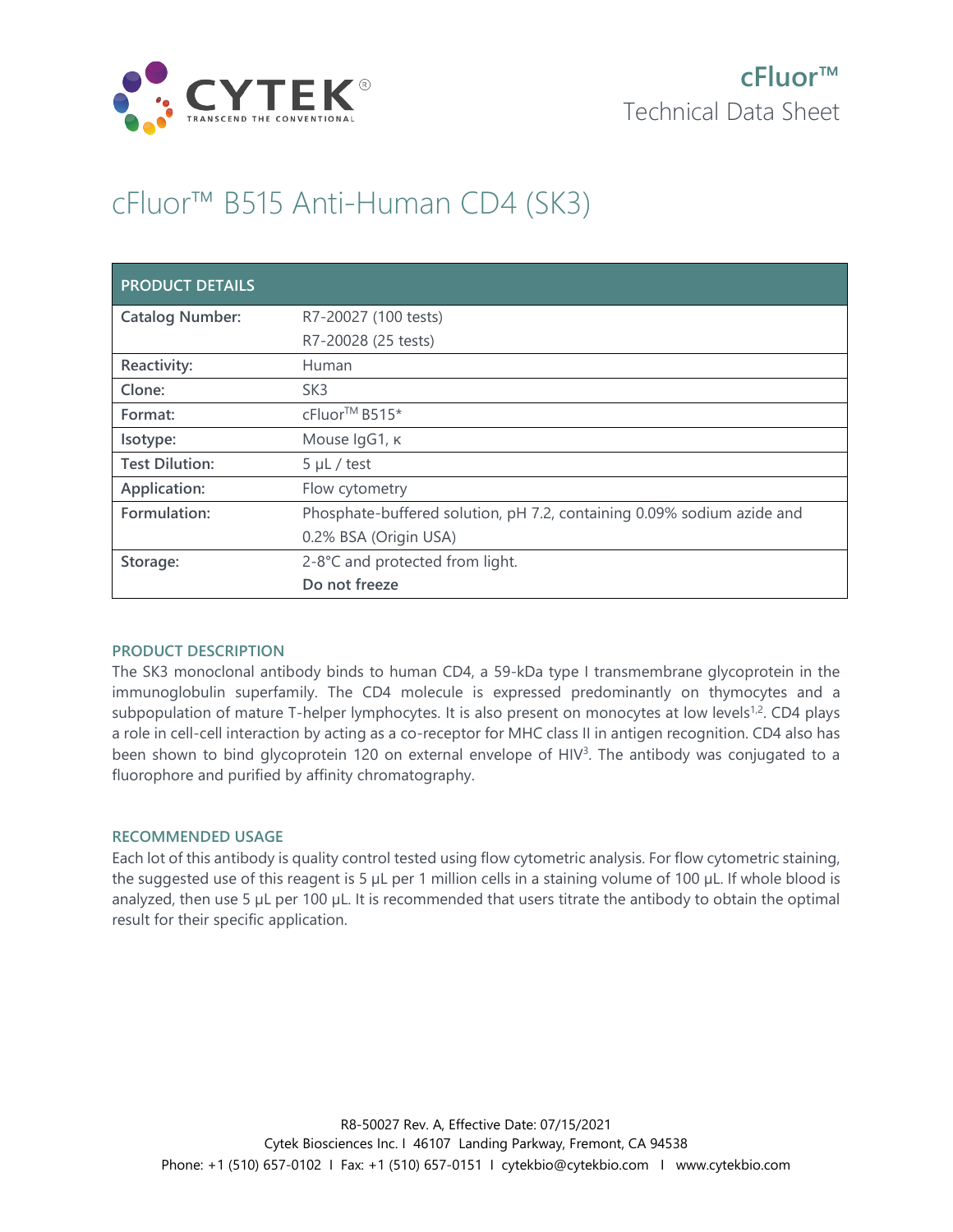

# cFluor™ B515 Anti-Human CD4 (SK3)

| <b>PRODUCT DETAILS</b> |                                                                        |
|------------------------|------------------------------------------------------------------------|
| <b>Catalog Number:</b> | R7-20027 (100 tests)                                                   |
|                        | R7-20028 (25 tests)                                                    |
| Reactivity:            | Human                                                                  |
| Clone:                 | SK <sub>3</sub>                                                        |
| Format:                | cFluor <sup>™</sup> B515*                                              |
| Isotype:               | Mouse IgG1, к                                                          |
| <b>Test Dilution:</b>  | $5 \mu L$ / test                                                       |
| Application:           | Flow cytometry                                                         |
| Formulation:           | Phosphate-buffered solution, pH 7.2, containing 0.09% sodium azide and |
|                        | 0.2% BSA (Origin USA)                                                  |
| Storage:               | 2-8°C and protected from light.                                        |
|                        | Do not freeze                                                          |

## **PRODUCT DESCRIPTION**

The SK3 monoclonal antibody binds to human CD4, a 59-kDa type I transmembrane glycoprotein in the immunoglobulin superfamily. The CD4 molecule is expressed predominantly on thymocytes and a subpopulation of mature T-helper lymphocytes. It is also present on monocytes at low levels<sup>1,2</sup>. CD4 plays a role in cell-cell interaction by acting as a co-receptor for MHC class II in antigen recognition. CD4 also has been shown to bind glycoprotein 120 on external envelope of HIV<sup>3</sup>. The antibody was conjugated to a fluorophore and purified by affinity chromatography.

### **RECOMMENDED USAGE**

Each lot of this antibody is quality control tested using flow cytometric analysis. For flow cytometric staining, the suggested use of this reagent is 5 µL per 1 million cells in a staining volume of 100 µL. If whole blood is analyzed, then use 5 µL per 100 µL. It is recommended that users titrate the antibody to obtain the optimal result for their specific application.